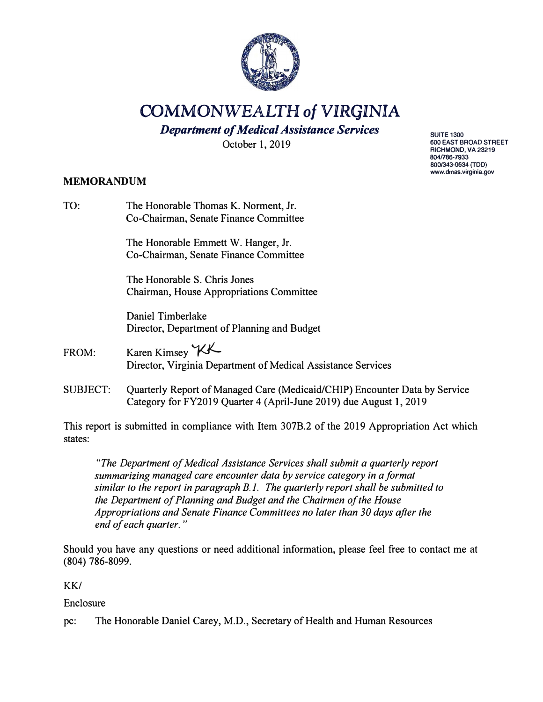

**COMMONWEALTH** *of* **VIRGINIA** 

*Department of Medical Assistance Services* 

October l, 2019

## **MEMORANDUM**

TO: The Honorable Thomas K. Norment, Jr. Co-Chairman, Senate Finance Committee The Honorable Emmett W. Hanger, Jr. Co-Chairman, Senate Finance Committee The Honorable S. Chris Jones Chairman, House Appropriations Committee Daniel Timberlake Director, Department of Planning and Budget FROM: Director, Virginia Department of Medical Assistance Services Karen Kimsey *KK* 

SUBJECT: Quarterly Report of Managed Care (Medicaid/CHIP) Encounter Data by Service Category for FY2019 Quarter 4 (April-June 2019) due August 1, 2019

This report is submitted in compliance with Item 307B.2 of the 2019 Appropriation Act which states:

*"The Department of Medical Assistance Services shall submit a quarterly report summarizing managed care encounter data by service category in a format similar to the report in paragraph B. 1. The quarterly report shall be submitted to the Department of Planning and Budget and the Chairmen of the House Appropriations and Senate Finance Committees no later than 30 days after the end of each quarter. "* 

Should you have any questions or need additional information, please feel free to contact me at (804) 786-8099.

KK/

Enclosure

pc: The Honorable Daniel Carey, M.D., Secretary of Health and Human Resources

**SUITE 1300 600 EAST BROAD STREET RICHMOND, VA23219 804ll86-7933 800/343-0634 (TDD) www.dmas.virginia.gov**